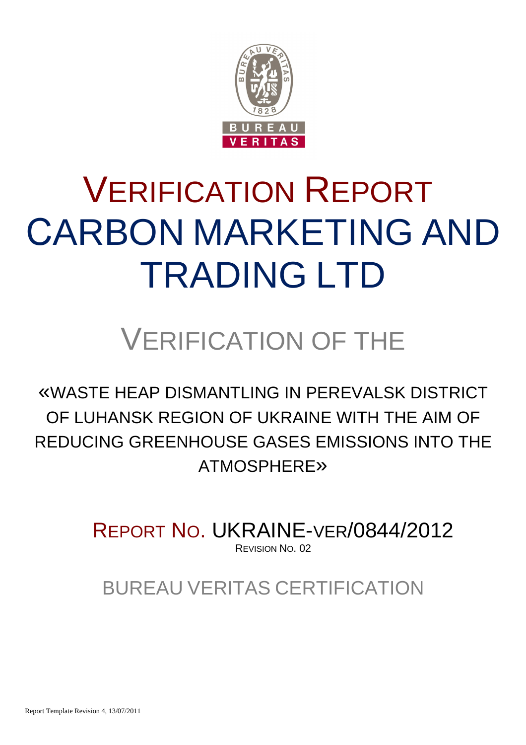

# VERIFICATION REPORT СARBON MARKETING AND TRADING LTD

## VERIFICATION OF THE

«WASTE HEAP DISMANTLING IN PEREVALSK DISTRICT OF LUHANSK REGION OF UKRAINE WITH THE AIM OF REDUCING GREENHOUSE GASES EMISSIONS INTO THE ATMOSPHERE»

> REPORT NO. UKRAINE-VER/0844/2012 REVISION NO. 02

BUREAU VERITAS CERTIFICATION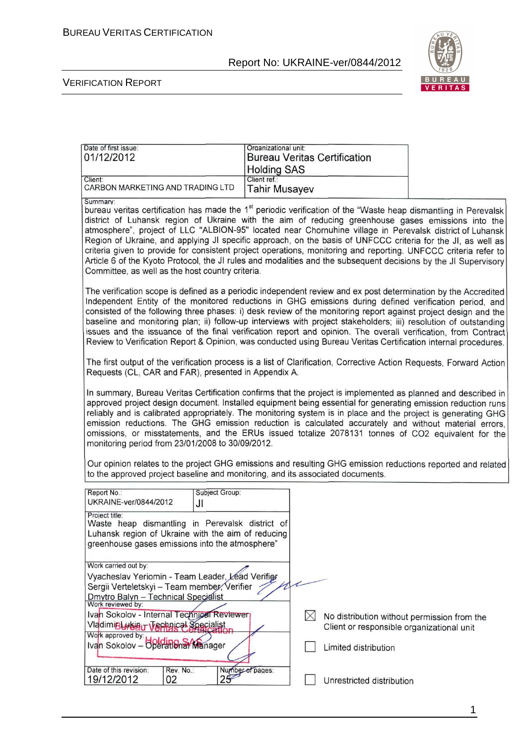

#### VERIFICATION REPORT

| Date of first issue:             | Organizational unit:                |  |
|----------------------------------|-------------------------------------|--|
| 01/12/2012                       | <b>Bureau Veritas Certification</b> |  |
|                                  | <b>Holding SAS</b>                  |  |
| Client:                          | Client ref.:                        |  |
| CARBON MARKETING AND TRADING LTD | Tahir Musayev                       |  |
| Summary:                         |                                     |  |

bureau veritas certification has made the 1<sup>st</sup> periodic verification of the "Waste heap dismantling in Perevalsk district of Luhansk region of Ukraine with the aim of reducing greenhouse gases emissions into the atmosphere", project of LLC "ALBION-95" located near Chornuhine village in Perevalsk district of Luhansk Region of Ukraine, and applying JI specific approach, on the basis of UNFCCC criteria for the JI, as well as criteria given to provide for consistent project operations, monitoring and reporting. UNFCCC criteria refer to Article 6 of the Kyoto Protocol, the JI rules and modalities and the subsequent decisions by the JI Supervisory Committee, as well as the host country criteria.

The verification scope is defined as a periodic independent review and ex post determination by the Accredited Independent Entity of the monitored reductions in GHG emissions during defined verification period, and consisted of the following three phases: i) desk review of the monitoring report against project design and the baseline and monitoring plan; ii) follow-up interviews with project stakeholders; iii) resolution of outstanding issues and the issuance of the final verification report and opinion. The overall verification, from Contract Review to Verification Report & Opinion, was conducted using Bureau Veritas Certification internal procedures.

The first output of the verification process is a list of Clarification, Corrective Action Requests, Forward Action Requests (CL, CAR and FAR), presented in Appendix A.

In summary, Bureau Veritas Certification confirms that the project is implemented as planned and described in approved project design document. Installed equipment being essential for generating emission reduction runs reliably and is calibrated appropriately. The monitoring system is in place and the project is generating GHG emission reductions. The GHG emission reduction is calculated accurately and without material errors. omissions, or misstatements, and the ERUs issued totalize 2078131 tonnes of CO2 equivalent for the monitoring period from 23/01/2008 to 30/09/2012.

Our opinion relates to the project GHG emissions and resulting GHG emission reductions reported and related to the approved project baseline and monitoring, and its associated documents.

| Report No.:<br>UKRAINE-ver/0844/2012                                               | Subject Group:<br>JI                                                                                                                                     |                                             |
|------------------------------------------------------------------------------------|----------------------------------------------------------------------------------------------------------------------------------------------------------|---------------------------------------------|
| Project title:                                                                     | Waste heap dismantling in Perevalsk district of<br>Luhansk region of Ukraine with the aim of reducing<br>greenhouse gases emissions into the atmosphere" |                                             |
| Work carried out by:                                                               |                                                                                                                                                          |                                             |
|                                                                                    | Vyacheslav Yeriomin - Team Leader, Lead Verifier                                                                                                         |                                             |
| Sergii Verteletskyi - Team member, Verifier<br>Dmytro Balyn - Technical Specialist |                                                                                                                                                          |                                             |
| Work reviewed by:                                                                  |                                                                                                                                                          |                                             |
| Ivan Sokolov - Internal Technical Reviewer                                         |                                                                                                                                                          | No distribution without permission from the |
| VladimiBLwbau Verhalcal Specialist                                                 |                                                                                                                                                          | Client or responsible organizational unit   |
| Work approved by:<br>Ivan Sokolov - Operational Manager                            |                                                                                                                                                          |                                             |
|                                                                                    |                                                                                                                                                          | Limited distribution                        |
| Date of this revision:<br>Rev. No.:                                                | Number of pages:                                                                                                                                         |                                             |
| 19/12/2012<br>02                                                                   |                                                                                                                                                          | Unrestricted distribution                   |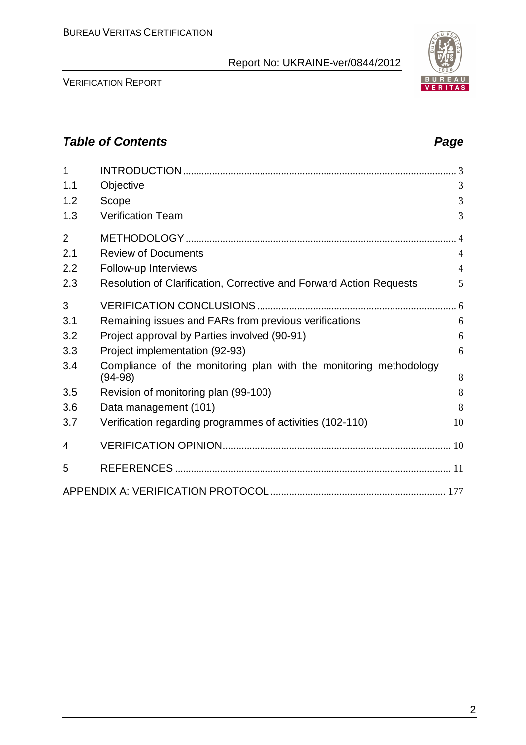

## **Table of Contents Page 2014**

| 1              |                                                                                |                |
|----------------|--------------------------------------------------------------------------------|----------------|
| 1.1            | Objective                                                                      | 3              |
| 1.2            | Scope                                                                          | 3              |
| 1.3            | <b>Verification Team</b>                                                       | 3              |
| $\overline{2}$ |                                                                                | $4 \times$     |
| 2.1            | <b>Review of Documents</b>                                                     | $\overline{4}$ |
| 2.2            | Follow-up Interviews                                                           | $\overline{4}$ |
| 2.3            | Resolution of Clarification, Corrective and Forward Action Requests            | 5              |
| 3              |                                                                                |                |
| 3.1            | Remaining issues and FARs from previous verifications                          | 6              |
| 3.2            | Project approval by Parties involved (90-91)                                   | 6              |
| 3.3            | Project implementation (92-93)                                                 | 6              |
| 3.4            | Compliance of the monitoring plan with the monitoring methodology<br>$(94-98)$ | 8              |
| 3.5            | Revision of monitoring plan (99-100)                                           | 8              |
| 3.6            | Data management (101)                                                          | 8              |
| 3.7            | Verification regarding programmes of activities (102-110)                      | 10             |
| 4              |                                                                                |                |
| 5              |                                                                                |                |
|                |                                                                                |                |

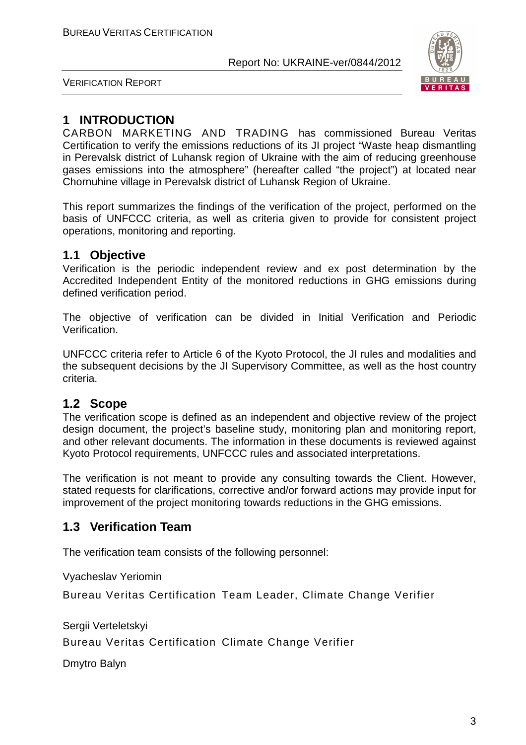

VERIFICATION REPORT

## **1 INTRODUCTION**

СARBON MARKETING AND TRADING has commissioned Bureau Veritas Certification to verify the emissions reductions of its JI project "Waste heap dismantling in Perevalsk district of Luhansk region of Ukraine with the aim of reducing greenhouse gases emissions into the atmosphere" (hereafter called "the project") at located near Chornuhine village in Perevalsk district of Luhansk Region of Ukraine.

This report summarizes the findings of the verification of the project, performed on the basis of UNFCCC criteria, as well as criteria given to provide for consistent project operations, monitoring and reporting.

## **1.1 Objective**

Verification is the periodic independent review and ex post determination by the Accredited Independent Entity of the monitored reductions in GHG emissions during defined verification period.

The objective of verification can be divided in Initial Verification and Periodic Verification.

UNFCCC criteria refer to Article 6 of the Kyoto Protocol, the JI rules and modalities and the subsequent decisions by the JI Supervisory Committee, as well as the host country criteria.

## **1.2 Scope**

The verification scope is defined as an independent and objective review of the project design document, the project's baseline study, monitoring plan and monitoring report, and other relevant documents. The information in these documents is reviewed against Kyoto Protocol requirements, UNFCCC rules and associated interpretations.

The verification is not meant to provide any consulting towards the Client. However, stated requests for clarifications, corrective and/or forward actions may provide input for improvement of the project monitoring towards reductions in the GHG emissions.

## **1.3 Verification Team**

The verification team consists of the following personnel:

Vyacheslav Yeriomin

Bureau Veritas Certification Team Leader, Climate Change Verifier

Sergii Verteletskyi

Bureau Veritas Certification Climate Change Verifier

Dmytro Balyn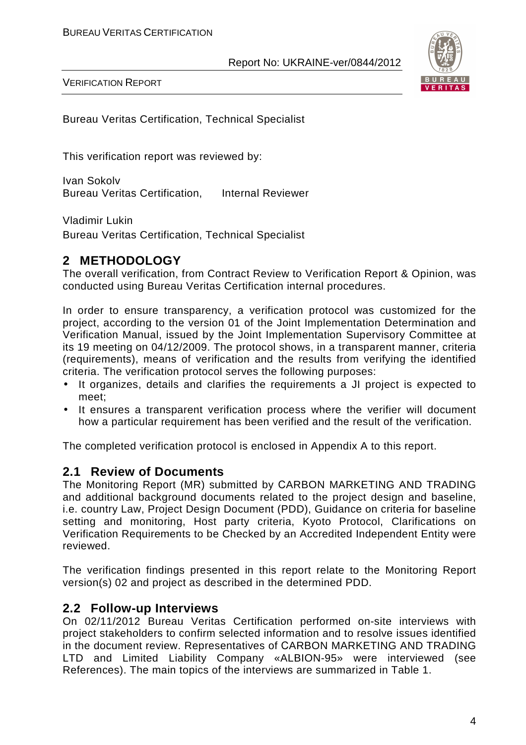

VERIFICATION REPORT

Bureau Veritas Certification, Technical Specialist

This verification report was reviewed by:

Ivan Sokolv Bureau Veritas Certification, Internal Reviewer

Vladimir Lukin

Bureau Veritas Certification, Technical Specialist

## **2 METHODOLOGY**

The overall verification, from Contract Review to Verification Report & Opinion, was conducted using Bureau Veritas Certification internal procedures.

In order to ensure transparency, a verification protocol was customized for the project, according to the version 01 of the Joint Implementation Determination and Verification Manual, issued by the Joint Implementation Supervisory Committee at its 19 meeting on 04/12/2009. The protocol shows, in a transparent manner, criteria (requirements), means of verification and the results from verifying the identified criteria. The verification protocol serves the following purposes:

- It organizes, details and clarifies the requirements a JI project is expected to meet;
- It ensures a transparent verification process where the verifier will document how a particular requirement has been verified and the result of the verification.

The completed verification protocol is enclosed in Appendix A to this report.

### **2.1 Review of Documents**

The Monitoring Report (MR) submitted by СARBON MARKETING AND TRADING and additional background documents related to the project design and baseline, i.e. country Law, Project Design Document (PDD), Guidance on criteria for baseline setting and monitoring, Host party criteria, Kyoto Protocol, Clarifications on Verification Requirements to be Checked by an Accredited Independent Entity were reviewed.

The verification findings presented in this report relate to the Monitoring Report version(s) 02 and project as described in the determined PDD.

### **2.2 Follow-up Interviews**

On 02/11/2012 Bureau Veritas Certification performed on-site interviews with project stakeholders to confirm selected information and to resolve issues identified in the document review. Representatives of СARBON MARKETING AND TRADING LTD and Limited Liability Company «ALBION-95» were interviewed (see References). The main topics of the interviews are summarized in Table 1.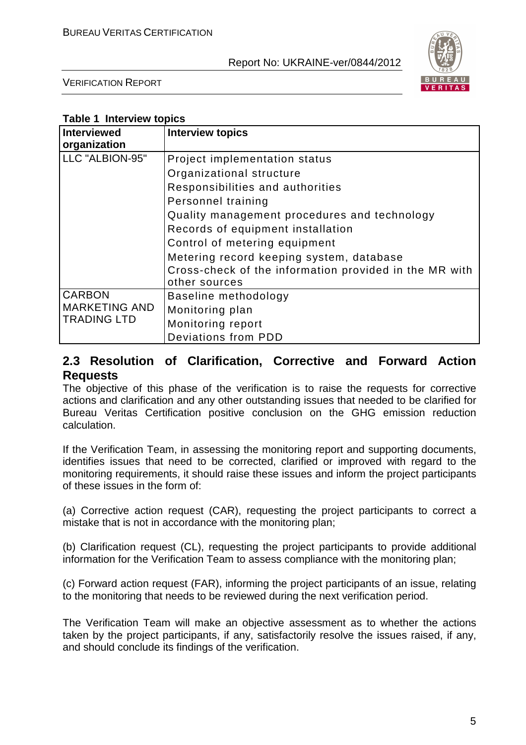

VERIFICATION REPORT

| <b>Interviewed</b>   | <b>Interview topics</b>                                |
|----------------------|--------------------------------------------------------|
| organization         |                                                        |
| LLC "ALBION-95"      | Project implementation status                          |
|                      | Organizational structure                               |
|                      | Responsibilities and authorities                       |
|                      | Personnel training                                     |
|                      | Quality management procedures and technology           |
|                      | Records of equipment installation                      |
|                      | Control of metering equipment                          |
|                      | Metering record keeping system, database               |
|                      | Cross-check of the information provided in the MR with |
|                      | other sources                                          |
| <b>CARBON</b>        | Baseline methodology                                   |
| <b>MARKETING AND</b> | Monitoring plan                                        |
| <b>TRADING LTD</b>   | Monitoring report                                      |
|                      | Deviations from PDD                                    |

## **2.3 Resolution of Clarification, Corrective and Forward Action Requests**

The objective of this phase of the verification is to raise the requests for corrective actions and clarification and any other outstanding issues that needed to be clarified for Bureau Veritas Certification positive conclusion on the GHG emission reduction calculation.

If the Verification Team, in assessing the monitoring report and supporting documents, identifies issues that need to be corrected, clarified or improved with regard to the monitoring requirements, it should raise these issues and inform the project participants of these issues in the form of:

(a) Corrective action request (CAR), requesting the project participants to correct a mistake that is not in accordance with the monitoring plan;

(b) Clarification request (CL), requesting the project participants to provide additional information for the Verification Team to assess compliance with the monitoring plan;

(c) Forward action request (FAR), informing the project participants of an issue, relating to the monitoring that needs to be reviewed during the next verification period.

The Verification Team will make an objective assessment as to whether the actions taken by the project participants, if any, satisfactorily resolve the issues raised, if any, and should conclude its findings of the verification.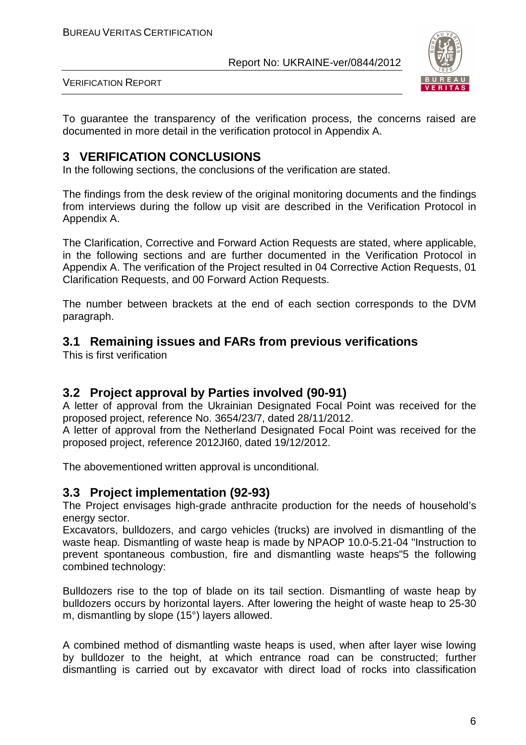

VERIFICATION REPORT

To guarantee the transparency of the verification process, the concerns raised are documented in more detail in the verification protocol in Appendix A.

## **3 VERIFICATION CONCLUSIONS**

In the following sections, the conclusions of the verification are stated.

The findings from the desk review of the original monitoring documents and the findings from interviews during the follow up visit are described in the Verification Protocol in Appendix A.

The Clarification, Corrective and Forward Action Requests are stated, where applicable, in the following sections and are further documented in the Verification Protocol in Appendix A. The verification of the Project resulted in 04 Corrective Action Requests, 01 Clarification Requests, and 00 Forward Action Requests.

The number between brackets at the end of each section corresponds to the DVM paragraph.

## **3.1 Remaining issues and FARs from previous verifications**

This is first verification

## **3.2 Project approval by Parties involved (90-91)**

A letter of approval from the Ukrainian Designated Focal Point was received for the proposed project, reference No. 3654/23/7, dated 28/11/2012.

A letter of approval from the Netherland Designated Focal Point was received for the proposed project, reference 2012JI60, dated 19/12/2012.

The abovementioned written approval is unconditional.

## **3.3 Project implementation (92-93)**

The Project envisages high-grade anthracite production for the needs of household's energy sector.

Excavators, bulldozers, and cargo vehicles (trucks) are involved in dismantling of the waste heap. Dismantling of waste heap is made by NPAOP 10.0-5.21-04 "Instruction to prevent spontaneous combustion, fire and dismantling waste heaps"5 the following combined technology:

Bulldozers rise to the top of blade on its tail section. Dismantling of waste heap by bulldozers occurs by horizontal layers. After lowering the height of waste heap to 25-30 m, dismantling by slope (15°) layers allowed.

A combined method of dismantling waste heaps is used, when after layer wise lowing by bulldozer to the height, at which entrance road can be constructed; further dismantling is carried out by excavator with direct load of rocks into classification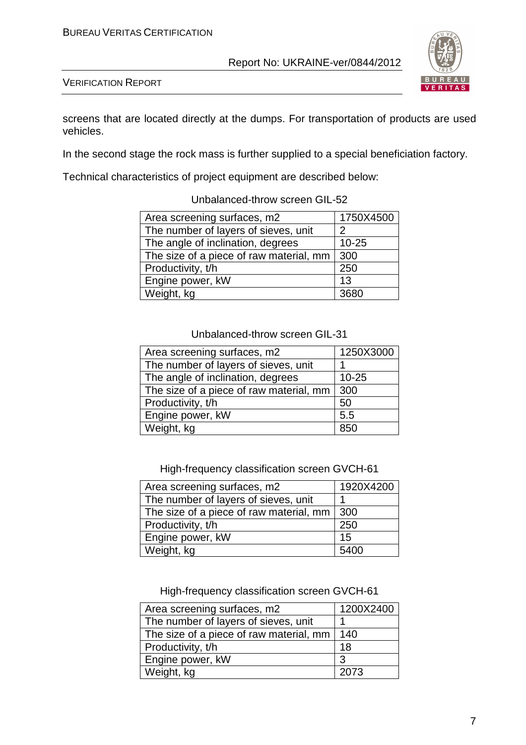

VERIFICATION REPORT

screens that are located directly at the dumps. For transportation of products are used vehicles.

In the second stage the rock mass is further supplied to a special beneficiation factory.

Technical characteristics of project equipment are described below:

| Area screening surfaces, m2             | 1750X4500 |
|-----------------------------------------|-----------|
| The number of layers of sieves, unit    | 2         |
| The angle of inclination, degrees       | $10 - 25$ |
| The size of a piece of raw material, mm | 300       |
| Productivity, t/h                       | 250       |
| Engine power, kW                        | 13        |
| Weight, kg                              | 3680      |

#### Unbalanced-throw screen GIL-52

#### Unbalanced-throw screen GIL-31

| Area screening surfaces, m2             | 1250X3000 |
|-----------------------------------------|-----------|
| The number of layers of sieves, unit    |           |
| The angle of inclination, degrees       | $10 - 25$ |
| The size of a piece of raw material, mm | 300       |
| Productivity, t/h                       | 50        |
| Engine power, kW                        | 5.5       |
| Weight, kg                              | 850       |

High-frequency classification screen GVCH-61

| Area screening surfaces, m2             | 1920X4200 |
|-----------------------------------------|-----------|
| The number of layers of sieves, unit    |           |
| The size of a piece of raw material, mm | 300       |
| Productivity, t/h                       | 250       |
| Engine power, kW                        | 15        |
| Weight, kg                              | 5400      |

High-frequency classification screen GVCH-61

| Area screening surfaces, m2             | 1200X2400 |
|-----------------------------------------|-----------|
| The number of layers of sieves, unit    |           |
| The size of a piece of raw material, mm | 140       |
| Productivity, t/h                       | 18        |
| Engine power, kW                        | 3         |
| Weight, kg                              | 2073      |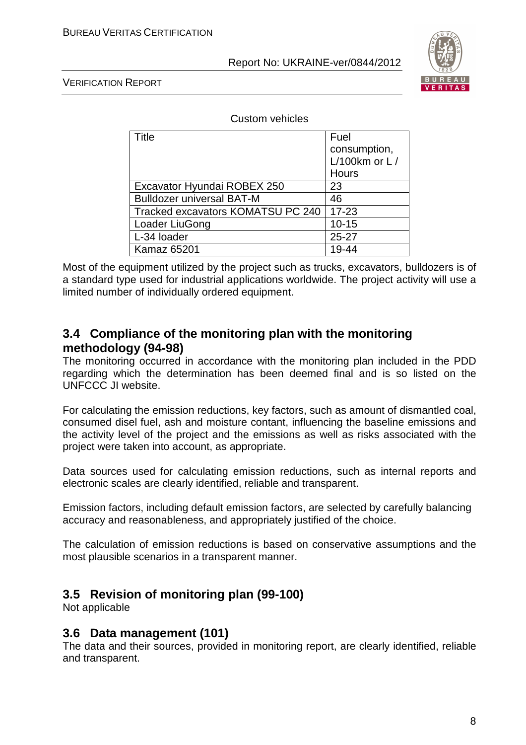

VERIFICATION REPORT

Custom vehicles

| Title                             | Fuel            |
|-----------------------------------|-----------------|
|                                   | consumption,    |
|                                   | L/100km or $L/$ |
|                                   | <b>Hours</b>    |
| Excavator Hyundai ROBEX 250       | 23              |
| <b>Bulldozer universal BAT-M</b>  | 46              |
| Tracked excavators KOMATSU PC 240 | $17 - 23$       |
| Loader LiuGong                    | $10 - 15$       |
| L-34 loader                       | $25 - 27$       |
| <b>Kamaz 65201</b>                |                 |

Most of the equipment utilized by the project such as trucks, excavators, bulldozers is of a standard type used for industrial applications worldwide. The project activity will use a limited number of individually ordered equipment.

## **3.4 Compliance of the monitoring plan with the monitoring methodology (94-98)**

The monitoring occurred in accordance with the monitoring plan included in the PDD regarding which the determination has been deemed final and is so listed on the UNFCCC JI website.

For calculating the emission reductions, key factors, such as amount of dismantled coal, consumed disel fuel, ash and moisture contant, influencing the baseline emissions and the activity level of the project and the emissions as well as risks associated with the project were taken into account, as appropriate.

Data sources used for calculating emission reductions, such as internal reports and electronic scales are clearly identified, reliable and transparent.

Emission factors, including default emission factors, are selected by carefully balancing accuracy and reasonableness, and appropriately justified of the choice.

The calculation of emission reductions is based on conservative assumptions and the most plausible scenarios in a transparent manner.

## **3.5 Revision of monitoring plan (99-100)**

Not applicable

## **3.6 Data management (101)**

The data and their sources, provided in monitoring report, are clearly identified, reliable and transparent.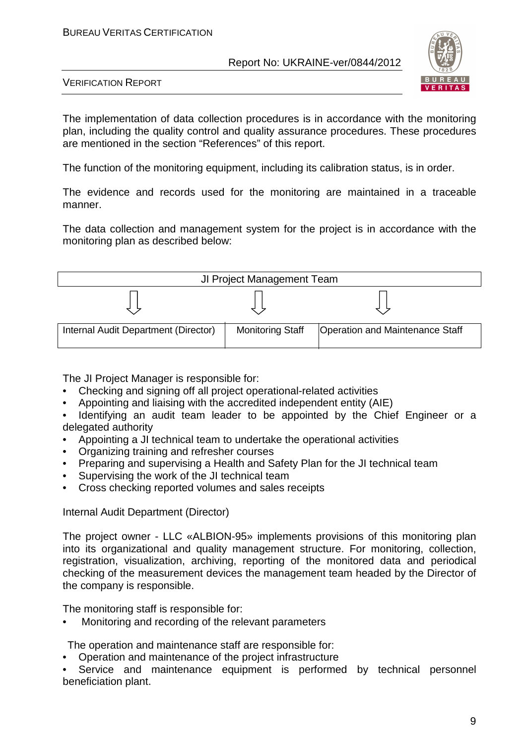

VERIFICATION REPORT

The implementation of data collection procedures is in accordance with the monitoring plan, including the quality control and quality assurance procedures. These procedures are mentioned in the section "References" of this report.

The function of the monitoring equipment, including its calibration status, is in order.

The evidence and records used for the monitoring are maintained in a traceable manner.

The data collection and management system for the project is in accordance with the monitoring plan as described below:



The JI Project Manager is responsible for:

- Checking and signing off all project operational-related activities
- Appointing and liaising with the accredited independent entity (AIE)
- Identifying an audit team leader to be appointed by the Chief Engineer or a delegated authority
- Appointing a JI technical team to undertake the operational activities
- Organizing training and refresher courses
- Preparing and supervising a Health and Safety Plan for the JI technical team
- Supervising the work of the JI technical team
- Cross checking reported volumes and sales receipts

Internal Audit Department (Director)

The project owner - LLC «ALBION-95» implements provisions of this monitoring plan into its organizational and quality management structure. For monitoring, collection, registration, visualization, archiving, reporting of the monitored data and periodical checking of the measurement devices the management team headed by the Director of the company is responsible.

The monitoring staff is responsible for:

• Monitoring and recording of the relevant parameters

The operation and maintenance staff are responsible for:

• Operation and maintenance of the project infrastructure

Service and maintenance equipment is performed by technical personnel beneficiation plant.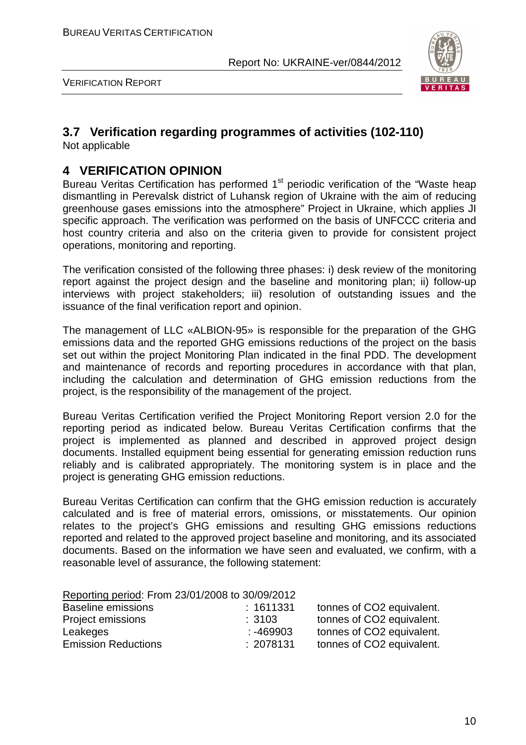

VERIFICATION REPORT

## **3.7 Verification regarding programmes of activities (102-110)**

Not applicable

## **4 VERIFICATION OPINION**

Bureau Veritas Certification has performed 1<sup>st</sup> periodic verification of the "Waste heap dismantling in Perevalsk district of Luhansk region of Ukraine with the aim of reducing greenhouse gases emissions into the atmosphere" Project in Ukraine, which applies JI specific approach. The verification was performed on the basis of UNFCCC criteria and host country criteria and also on the criteria given to provide for consistent project operations, monitoring and reporting.

The verification consisted of the following three phases: i) desk review of the monitoring report against the project design and the baseline and monitoring plan; ii) follow-up interviews with project stakeholders; iii) resolution of outstanding issues and the issuance of the final verification report and opinion.

The management of LLC «ALBION-95» is responsible for the preparation of the GHG emissions data and the reported GHG emissions reductions of the project on the basis set out within the project Monitoring Plan indicated in the final PDD. The development and maintenance of records and reporting procedures in accordance with that plan, including the calculation and determination of GHG emission reductions from the project, is the responsibility of the management of the project.

Bureau Veritas Certification verified the Project Monitoring Report version 2.0 for the reporting period as indicated below. Bureau Veritas Certification confirms that the project is implemented as planned and described in approved project design documents. Installed equipment being essential for generating emission reduction runs reliably and is calibrated appropriately. The monitoring system is in place and the project is generating GHG emission reductions.

Bureau Veritas Certification can confirm that the GHG emission reduction is accurately calculated and is free of material errors, omissions, or misstatements. Our opinion relates to the project's GHG emissions and resulting GHG emissions reductions reported and related to the approved project baseline and monitoring, and its associated documents. Based on the information we have seen and evaluated, we confirm, with a reasonable level of assurance, the following statement:

| Reporting period: From 23/01/2008 to 30/09/2012 |           |                           |
|-------------------------------------------------|-----------|---------------------------|
| <b>Baseline emissions</b>                       | : 1611331 | tonnes of CO2 equivalent. |
| Project emissions                               | :3103     | tonnes of CO2 equivalent. |
| Leakeges                                        | : -469903 | tonnes of CO2 equivalent. |
| <b>Emission Reductions</b>                      | : 2078131 | tonnes of CO2 equivalent. |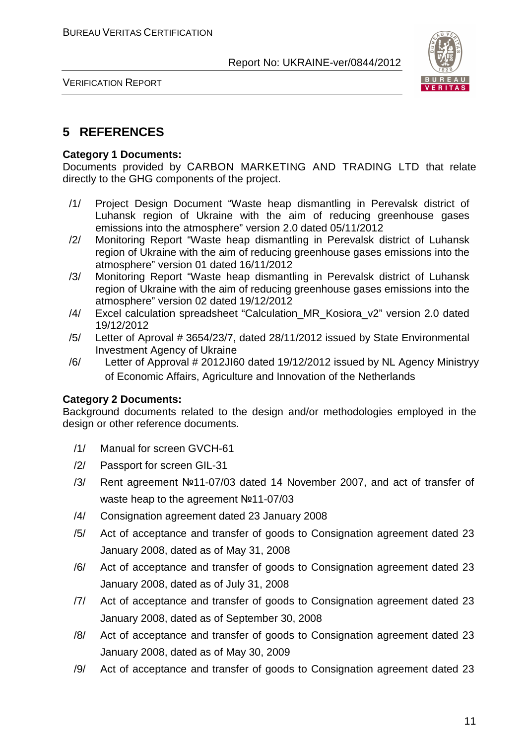

VERIFICATION REPORT

## **5 REFERENCES**

#### **Category 1 Documents:**

Documents provided by СARBON MARKETING AND TRADING LTD that relate directly to the GHG components of the project.

- /1/ Project Design Document "Waste heap dismantling in Perevalsk district of Luhansk region of Ukraine with the aim of reducing greenhouse gases emissions into the atmosphere" version 2.0 dated 05/11/2012
- /2/ Monitoring Report "Waste heap dismantling in Perevalsk district of Luhansk region of Ukraine with the aim of reducing greenhouse gases emissions into the atmosphere" version 01 dated 16/11/2012
- /3/ Monitoring Report "Waste heap dismantling in Perevalsk district of Luhansk region of Ukraine with the aim of reducing greenhouse gases emissions into the atmosphere" version 02 dated 19/12/2012
- /4/ Excel calculation spreadsheet "Calculation\_MR\_Kosiora\_v2" version 2.0 dated 19/12/2012
- /5/ Letter of Aproval # 3654/23/7, dated 28/11/2012 issued by State Environmental Investment Agency of Ukraine
- /6/ Letter of Approval # 2012JI60 dated 19/12/2012 issued by NL Agency Ministryy of Economic Affairs, Agriculture and Innovation of the Netherlands

#### **Category 2 Documents:**

Background documents related to the design and/or methodologies employed in the design or other reference documents.

- /1/ Manual for screen GVCH-61
- /2/ Passport for screen GIL-31
- /3/ Rent agreement №11-07/03 dated 14 November 2007, and act of transfer of waste heap to the agreement №11-07/03
- /4/ Consignation agreement dated 23 January 2008
- /5/ Act of acceptance and transfer of goods to Consignation agreement dated 23 January 2008, dated as of May 31, 2008
- /6/ Act of acceptance and transfer of goods to Consignation agreement dated 23 January 2008, dated as of July 31, 2008
- /7/ Act of acceptance and transfer of goods to Consignation agreement dated 23 January 2008, dated as of September 30, 2008
- /8/ Act of acceptance and transfer of goods to Consignation agreement dated 23 January 2008, dated as of May 30, 2009
- /9/ Act of acceptance and transfer of goods to Consignation agreement dated 23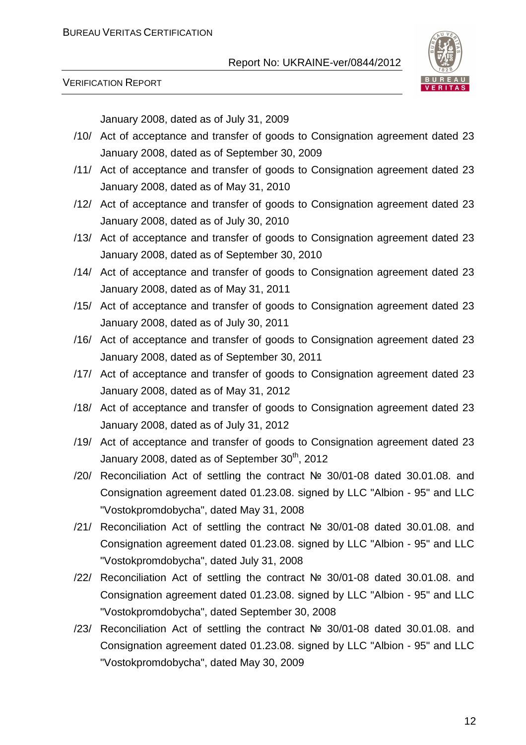

VERIFICATION REPORT

January 2008, dated as of July 31, 2009

- /10/ Act of acceptance and transfer of goods to Consignation agreement dated 23 January 2008, dated as of September 30, 2009
- /11/ Act of acceptance and transfer of goods to Consignation agreement dated 23 January 2008, dated as of May 31, 2010
- /12/ Act of acceptance and transfer of goods to Consignation agreement dated 23 January 2008, dated as of July 30, 2010
- /13/ Act of acceptance and transfer of goods to Consignation agreement dated 23 January 2008, dated as of September 30, 2010
- /14/ Act of acceptance and transfer of goods to Consignation agreement dated 23 January 2008, dated as of May 31, 2011
- /15/ Act of acceptance and transfer of goods to Consignation agreement dated 23 January 2008, dated as of July 30, 2011
- /16/ Act of acceptance and transfer of goods to Consignation agreement dated 23 January 2008, dated as of September 30, 2011
- /17/ Act of acceptance and transfer of goods to Consignation agreement dated 23 January 2008, dated as of May 31, 2012
- /18/ Act of acceptance and transfer of goods to Consignation agreement dated 23 January 2008, dated as of July 31, 2012
- /19/ Act of acceptance and transfer of goods to Consignation agreement dated 23 January 2008, dated as of September  $30<sup>th</sup>$ , 2012
- /20/ Reconciliation Act of settling the contract № 30/01-08 dated 30.01.08. and Consignation agreement dated 01.23.08. signed by LLC "Albion - 95" and LLC "Vostokpromdobycha", dated May 31, 2008
- /21/ Reconciliation Act of settling the contract № 30/01-08 dated 30.01.08. and Consignation agreement dated 01.23.08. signed by LLC "Albion - 95" and LLC "Vostokpromdobycha", dated July 31, 2008
- /22/ Reconciliation Act of settling the contract № 30/01-08 dated 30.01.08. and Consignation agreement dated 01.23.08. signed by LLC "Albion - 95" and LLC "Vostokpromdobycha", dated September 30, 2008
- /23/ Reconciliation Act of settling the contract № 30/01-08 dated 30.01.08. and Consignation agreement dated 01.23.08. signed by LLC "Albion - 95" and LLC "Vostokpromdobycha", dated May 30, 2009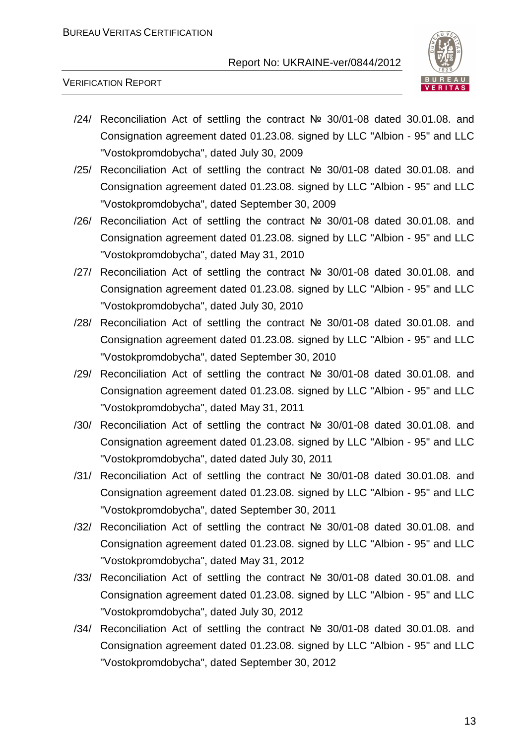

VERIFICATION REPORT

- /24/ Reconciliation Act of settling the contract № 30/01-08 dated 30.01.08. and Consignation agreement dated 01.23.08. signed by LLC "Albion - 95" and LLC "Vostokpromdobycha", dated July 30, 2009
- /25/ Reconciliation Act of settling the contract № 30/01-08 dated 30.01.08. and Consignation agreement dated 01.23.08. signed by LLC "Albion - 95" and LLC "Vostokpromdobycha", dated September 30, 2009
- /26/ Reconciliation Act of settling the contract № 30/01-08 dated 30.01.08. and Consignation agreement dated 01.23.08. signed by LLC "Albion - 95" and LLC "Vostokpromdobycha", dated May 31, 2010
- /27/ Reconciliation Act of settling the contract № 30/01-08 dated 30.01.08. and Consignation agreement dated 01.23.08. signed by LLC "Albion - 95" and LLC "Vostokpromdobycha", dated July 30, 2010
- /28/ Reconciliation Act of settling the contract № 30/01-08 dated 30.01.08. and Consignation agreement dated 01.23.08. signed by LLC "Albion - 95" and LLC "Vostokpromdobycha", dated September 30, 2010
- /29/ Reconciliation Act of settling the contract № 30/01-08 dated 30.01.08. and Consignation agreement dated 01.23.08. signed by LLC "Albion - 95" and LLC "Vostokpromdobycha", dated May 31, 2011
- /30/ Reconciliation Act of settling the contract № 30/01-08 dated 30.01.08. and Consignation agreement dated 01.23.08. signed by LLC "Albion - 95" and LLC "Vostokpromdobycha", dated dated July 30, 2011
- /31/ Reconciliation Act of settling the contract № 30/01-08 dated 30.01.08. and Consignation agreement dated 01.23.08. signed by LLC "Albion - 95" and LLC "Vostokpromdobycha", dated September 30, 2011
- /32/ Reconciliation Act of settling the contract № 30/01-08 dated 30.01.08. and Consignation agreement dated 01.23.08. signed by LLC "Albion - 95" and LLC "Vostokpromdobycha", dated May 31, 2012
- /33/ Reconciliation Act of settling the contract № 30/01-08 dated 30.01.08. and Consignation agreement dated 01.23.08. signed by LLC "Albion - 95" and LLC "Vostokpromdobycha", dated July 30, 2012
- /34/ Reconciliation Act of settling the contract № 30/01-08 dated 30.01.08. and Consignation agreement dated 01.23.08. signed by LLC "Albion - 95" and LLC "Vostokpromdobycha", dated September 30, 2012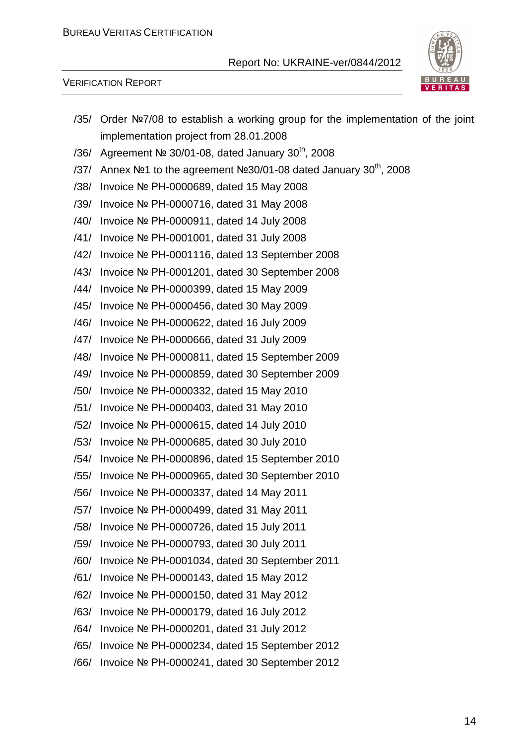

#### VERIFICATION REPORT

|      | /35/ Order Nº7/08 to establish a working group for the implementation of the joint |
|------|------------------------------------------------------------------------------------|
|      | implementation project from 28.01.2008                                             |
|      | /36/ Agreement $N°$ 30/01-08, dated January 30 <sup>th</sup> , 2008                |
| /37/ | Annex Nº1 to the agreement Nº30/01-08 dated January 30 <sup>th</sup> , 2008        |
|      | /38/ Invoice Nº PH-0000689, dated 15 May 2008                                      |
| /39/ | Invoice № PH-0000716, dated 31 May 2008                                            |
|      | /40/ Invoice Nº PH-0000911, dated 14 July 2008                                     |
|      | /41/ Invoice Nº PH-0001001, dated 31 July 2008                                     |
|      | /42/ Invoice Nº PH-0001116, dated 13 September 2008                                |
|      | /43/ Invoice Nº PH-0001201, dated 30 September 2008                                |
|      | /44/ Invoice № PH-0000399, dated 15 May 2009                                       |
|      | /45/ Invoice № PH-0000456, dated 30 May 2009                                       |
|      | /46/ Invoice Nº PH-0000622, dated 16 July 2009                                     |
| /47/ | Invoice Nº PH-0000666, dated 31 July 2009                                          |
|      | /48/ Invoice Nº PH-0000811, dated 15 September 2009                                |
|      | /49/ Invoice № PH-0000859, dated 30 September 2009                                 |
|      | /50/ Invoice № PH-0000332, dated 15 May 2010                                       |
|      | /51/ Invoice Nº PH-0000403, dated 31 May 2010                                      |
| /52/ | Invoice Nº PH-0000615, dated 14 July 2010                                          |
|      | /53/ Invoice Nº PH-0000685, dated 30 July 2010                                     |
|      | /54/ Invoice № PH-0000896, dated 15 September 2010                                 |
|      | /55/ Invoice Nº PH-0000965, dated 30 September 2010                                |
|      | /56/ Invoice Nº PH-0000337, dated 14 May 2011                                      |
|      | /57/ Invoice № PH-0000499, dated 31 May 2011                                       |
| /58/ | Invoice № PH-0000726, dated 15 July 2011                                           |
| /59/ | Invoice Nº PH-0000793, dated 30 July 2011                                          |
| /60/ | Invoice № PH-0001034, dated 30 September 2011                                      |
| /61/ | Invoice № PH-0000143, dated 15 May 2012                                            |
| /62/ | Invoice № PH-0000150, dated 31 May 2012                                            |
| /63/ | Invoice № PH-0000179, dated 16 July 2012                                           |
| /64/ | Invoice № PH-0000201, dated 31 July 2012                                           |
| /65/ | Invoice № PH-0000234, dated 15 September 2012                                      |
| /66/ | Invoice № PH-0000241, dated 30 September 2012                                      |
|      |                                                                                    |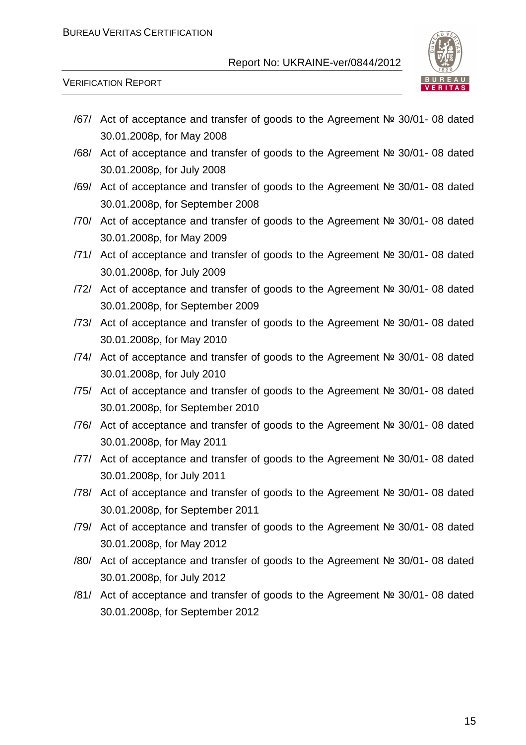

VERIFICATION REPORT

- /67/ Act of acceptance and transfer of goods to the Agreement № 30/01- 08 dated 30.01.2008р, for May 2008
- /68/ Act of acceptance and transfer of goods to the Agreement № 30/01- 08 dated 30.01.2008р, for July 2008
- /69/ Act of acceptance and transfer of goods to the Agreement № 30/01- 08 dated 30.01.2008р, for September 2008
- /70/ Act of acceptance and transfer of goods to the Agreement № 30/01- 08 dated 30.01.2008р, for May 2009
- /71/ Act of acceptance and transfer of goods to the Agreement № 30/01- 08 dated 30.01.2008р, for July 2009
- /72/ Act of acceptance and transfer of goods to the Agreement № 30/01- 08 dated 30.01.2008р, for September 2009
- /73/ Act of acceptance and transfer of goods to the Agreement № 30/01- 08 dated 30.01.2008р, for May 2010
- /74/ Act of acceptance and transfer of goods to the Agreement № 30/01- 08 dated 30.01.2008р, for July 2010
- /75/ Act of acceptance and transfer of goods to the Agreement № 30/01- 08 dated 30.01.2008р, for September 2010
- /76/ Act of acceptance and transfer of goods to the Agreement № 30/01- 08 dated 30.01.2008р, for May 2011
- /77/ Act of acceptance and transfer of goods to the Agreement № 30/01- 08 dated 30.01.2008р, for July 2011
- /78/ Act of acceptance and transfer of goods to the Agreement № 30/01- 08 dated 30.01.2008р, for September 2011
- /79/ Act of acceptance and transfer of goods to the Agreement № 30/01- 08 dated 30.01.2008р, for May 2012
- /80/ Act of acceptance and transfer of goods to the Agreement № 30/01- 08 dated 30.01.2008р, for July 2012
- /81/ Act of acceptance and transfer of goods to the Agreement № 30/01- 08 dated 30.01.2008р, for September 2012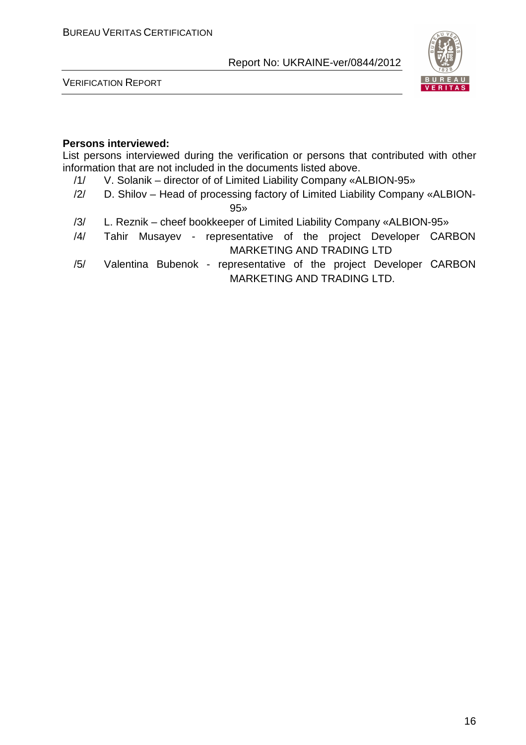

VERIFICATION REPORT

#### **Persons interviewed:**

List persons interviewed during the verification or persons that contributed with other information that are not included in the documents listed above.

- /1/ V. Solanik director of of Limited Liability Company «ALBION-95»
- /2/ D. Shilov Head of processing factory of Limited Liability Company «ALBION-

95»

- /3/ L. Reznik cheef bookkeeper of Limited Liability Company «ALBION-95»
- /4/ Tahir Musayev representative of the project Developer СARBON MARKETING AND TRADING LTD
- /5/ Valentina Bubenok representative of the project Developer СARBON MARKETING AND TRADING LTD.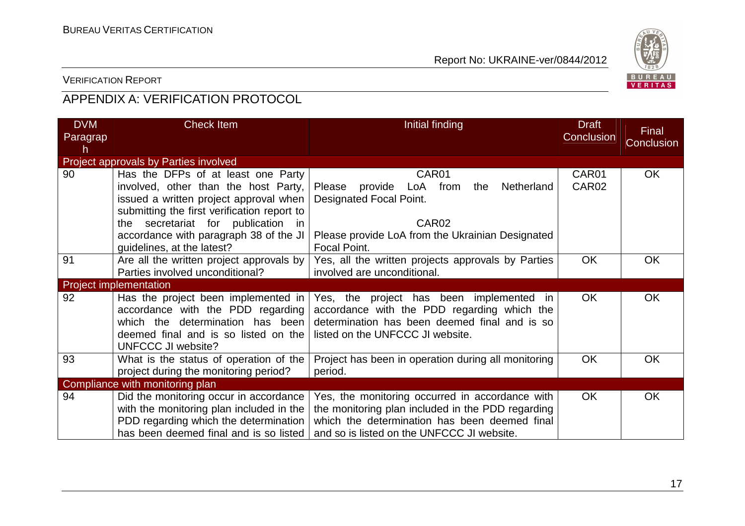

## VERIFICATION REPORT

## APPENDIX A: VERIFICATION PROTOCOL

| <b>DVM</b>    | <b>Check Item</b>                                                                     | Initial finding                                                                   | <b>Draft</b>               | Final             |
|---------------|---------------------------------------------------------------------------------------|-----------------------------------------------------------------------------------|----------------------------|-------------------|
| Paragrap<br>h |                                                                                       |                                                                                   | Conclusion                 | <b>Conclusion</b> |
|               | <b>Project approvals by Parties involved</b>                                          |                                                                                   |                            |                   |
| 90            | Has the DFPs of at least one Party<br>involved, other than the host Party,            | CAR01<br>provide LoA from<br>Netherland<br>the<br>Please                          | CAR01<br>CAR <sub>02</sub> | <b>OK</b>         |
|               | issued a written project approval when<br>submitting the first verification report to | Designated Focal Point.                                                           |                            |                   |
|               | the secretariat for publication in                                                    | CAR <sub>02</sub>                                                                 |                            |                   |
|               | accordance with paragraph 38 of the JI<br>guidelines, at the latest?                  | Please provide LoA from the Ukrainian Designated<br>Focal Point.                  |                            |                   |
| 91            | Are all the written project approvals by                                              | Yes, all the written projects approvals by Parties                                | <b>OK</b>                  | OK                |
|               | Parties involved unconditional?                                                       | involved are unconditional.                                                       |                            |                   |
|               | <b>Project implementation</b>                                                         |                                                                                   |                            |                   |
| 92            | Has the project been implemented in                                                   | Yes, the project has been implemented in                                          | <b>OK</b>                  | OK                |
|               | accordance with the PDD regarding                                                     | accordance with the PDD regarding which the                                       |                            |                   |
|               | which the determination has been<br>deemed final and is so listed on the              | determination has been deemed final and is so<br>listed on the UNFCCC JI website. |                            |                   |
|               | <b>UNFCCC JI website?</b>                                                             |                                                                                   |                            |                   |
| 93            | What is the status of operation of the                                                | Project has been in operation during all monitoring                               | <b>OK</b>                  | OK                |
|               | project during the monitoring period?                                                 | period.                                                                           |                            |                   |
|               | Compliance with monitoring plan                                                       |                                                                                   |                            |                   |
| 94            | Did the monitoring occur in accordance                                                | Yes, the monitoring occurred in accordance with                                   | <b>OK</b>                  | <b>OK</b>         |
|               | with the monitoring plan included in the                                              | the monitoring plan included in the PDD regarding                                 |                            |                   |
|               | PDD regarding which the determination                                                 | which the determination has been deemed final                                     |                            |                   |
|               | has been deemed final and is so listed                                                | and so is listed on the UNFCCC JI website.                                        |                            |                   |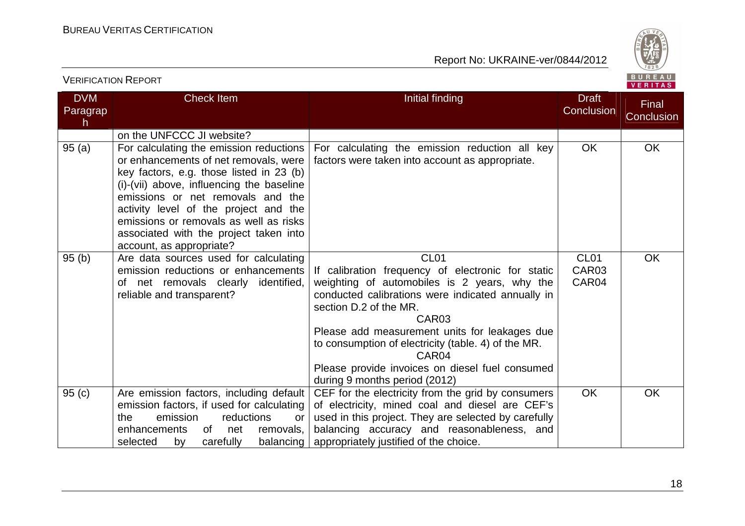

| <b>VERIFICATION REPORT</b>  |                                                                                                                                                                                                                                                                                                                                                                         |                                                                                                                                                                                                                                                                                                                                                                                                                                            | BUREAU<br>VERITAS                              |                            |
|-----------------------------|-------------------------------------------------------------------------------------------------------------------------------------------------------------------------------------------------------------------------------------------------------------------------------------------------------------------------------------------------------------------------|--------------------------------------------------------------------------------------------------------------------------------------------------------------------------------------------------------------------------------------------------------------------------------------------------------------------------------------------------------------------------------------------------------------------------------------------|------------------------------------------------|----------------------------|
| <b>DVM</b><br>Paragrap<br>h | <b>Check Item</b>                                                                                                                                                                                                                                                                                                                                                       | Initial finding                                                                                                                                                                                                                                                                                                                                                                                                                            | <b>Draft</b><br>Conclusion                     | Final<br><b>Conclusion</b> |
|                             | on the UNFCCC JI website?                                                                                                                                                                                                                                                                                                                                               |                                                                                                                                                                                                                                                                                                                                                                                                                                            |                                                |                            |
| 95(a)                       | For calculating the emission reductions<br>or enhancements of net removals, were<br>key factors, e.g. those listed in 23 (b)<br>(i)-(vii) above, influencing the baseline<br>emissions or net removals and the<br>activity level of the project and the<br>emissions or removals as well as risks<br>associated with the project taken into<br>account, as appropriate? | For calculating the emission reduction all key<br>factors were taken into account as appropriate.                                                                                                                                                                                                                                                                                                                                          | <b>OK</b>                                      | OK                         |
| 95(b)                       | Are data sources used for calculating<br>emission reductions or enhancements<br>of net removals clearly identified,<br>reliable and transparent?                                                                                                                                                                                                                        | CL <sub>01</sub><br>If calibration frequency of electronic for static<br>weighting of automobiles is 2 years, why the<br>conducted calibrations were indicated annually in<br>section D.2 of the MR.<br>CAR <sub>03</sub><br>Please add measurement units for leakages due<br>to consumption of electricity (table. 4) of the MR.<br>CAR <sub>04</sub><br>Please provide invoices on diesel fuel consumed<br>during 9 months period (2012) | CL <sub>01</sub><br>CAR <sub>03</sub><br>CAR04 | <b>OK</b>                  |
| 95(c)                       | Are emission factors, including default<br>emission factors, if used for calculating<br>emission<br>reductions<br>the<br>or<br>enhancements<br>0f<br>net<br>removals,<br>carefully<br>selected<br>balancing<br>by                                                                                                                                                       | CEF for the electricity from the grid by consumers<br>of electricity, mined coal and diesel are CEF's<br>used in this project. They are selected by carefully<br>balancing accuracy and reasonableness, and<br>appropriately justified of the choice.                                                                                                                                                                                      | <b>OK</b>                                      | <b>OK</b>                  |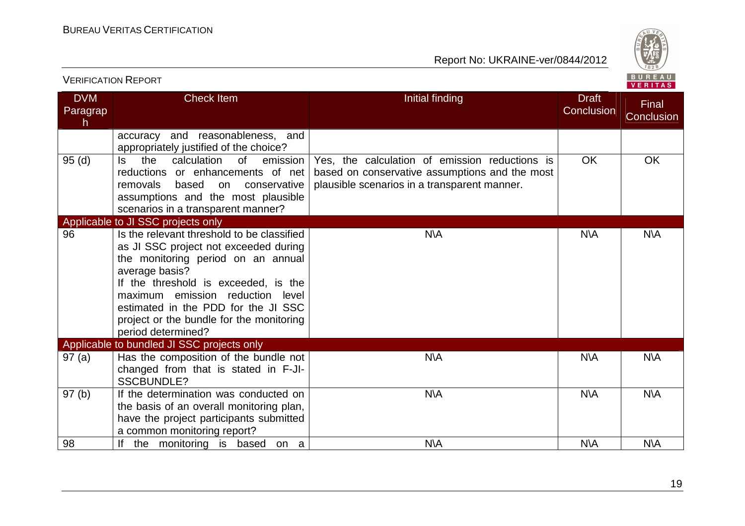

|                              | <b>VERIFICATION REPORT</b>                                                                                                                                                                                                                                                                                                          |                                                                                                                                                  |                            | BUREAU<br>VERITAS   |
|------------------------------|-------------------------------------------------------------------------------------------------------------------------------------------------------------------------------------------------------------------------------------------------------------------------------------------------------------------------------------|--------------------------------------------------------------------------------------------------------------------------------------------------|----------------------------|---------------------|
| <b>DVM</b><br>Paragrap<br>h. | <b>Check Item</b>                                                                                                                                                                                                                                                                                                                   | Initial finding                                                                                                                                  | <b>Draft</b><br>Conclusion | Final<br>Conclusion |
|                              | accuracy and reasonableness, and<br>appropriately justified of the choice?                                                                                                                                                                                                                                                          |                                                                                                                                                  |                            |                     |
| 95(d)                        | the<br>calculation<br><b>of</b><br>emission<br>Is.<br>reductions or enhancements of net<br>removals<br>based<br>conservative<br>on<br>assumptions and the most plausible<br>scenarios in a transparent manner?                                                                                                                      | Yes, the calculation of emission reductions is<br>based on conservative assumptions and the most<br>plausible scenarios in a transparent manner. | <b>OK</b>                  | OK                  |
|                              | Applicable to JI SSC projects only                                                                                                                                                                                                                                                                                                  |                                                                                                                                                  |                            |                     |
| 96                           | Is the relevant threshold to be classified<br>as JI SSC project not exceeded during<br>the monitoring period on an annual<br>average basis?<br>If the threshold is exceeded, is the<br>maximum emission reduction<br>level<br>estimated in the PDD for the JI SSC<br>project or the bundle for the monitoring<br>period determined? | <b>N\A</b>                                                                                                                                       | <b>N\A</b>                 | <b>N\A</b>          |
|                              | Applicable to bundled JI SSC projects only                                                                                                                                                                                                                                                                                          |                                                                                                                                                  |                            |                     |
| 97(a)                        | Has the composition of the bundle not<br>changed from that is stated in F-JI-<br><b>SSCBUNDLE?</b>                                                                                                                                                                                                                                  | <b>N\A</b>                                                                                                                                       | <b>N\A</b>                 | <b>N\A</b>          |
| 97(b)                        | If the determination was conducted on<br>the basis of an overall monitoring plan,<br>have the project participants submitted<br>a common monitoring report?                                                                                                                                                                         | <b>N\A</b>                                                                                                                                       | <b>N\A</b>                 | <b>N\A</b>          |
| 98                           | If the monitoring is based on a                                                                                                                                                                                                                                                                                                     | <b>N\A</b>                                                                                                                                       | <b>N\A</b>                 | <b>N\A</b>          |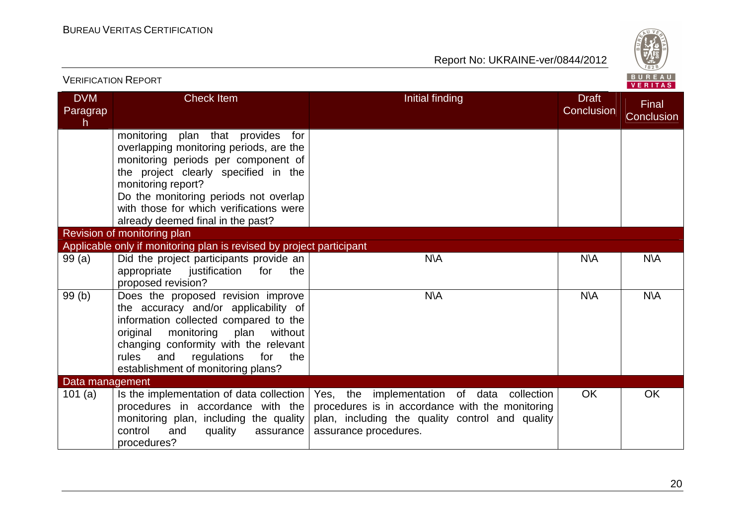

| <b>VERIFICATION REPORT</b>   |                                                                                                                                                                                                                                                                                                               |                                                                                                                                                                                                                            |                            | BUREAU<br><b>VERITAS</b> |
|------------------------------|---------------------------------------------------------------------------------------------------------------------------------------------------------------------------------------------------------------------------------------------------------------------------------------------------------------|----------------------------------------------------------------------------------------------------------------------------------------------------------------------------------------------------------------------------|----------------------------|--------------------------|
| <b>DVM</b><br>Paragrap<br>h. | <b>Check Item</b>                                                                                                                                                                                                                                                                                             | Initial finding                                                                                                                                                                                                            | <b>Draft</b><br>Conclusion | Final<br>Conclusion      |
|                              | monitoring plan that provides<br>for<br>overlapping monitoring periods, are the<br>monitoring periods per component of<br>the project clearly specified in the<br>monitoring report?<br>Do the monitoring periods not overlap<br>with those for which verifications were<br>already deemed final in the past? |                                                                                                                                                                                                                            |                            |                          |
|                              | Revision of monitoring plan                                                                                                                                                                                                                                                                                   |                                                                                                                                                                                                                            |                            |                          |
|                              | Applicable only if monitoring plan is revised by project participant                                                                                                                                                                                                                                          |                                                                                                                                                                                                                            |                            |                          |
| 99(a)                        | Did the project participants provide an<br>appropriate<br>justification<br>for<br>the<br>proposed revision?                                                                                                                                                                                                   | <b>N\A</b>                                                                                                                                                                                                                 | <b>N\A</b>                 | <b>N\A</b>               |
| 99(b)                        | Does the proposed revision improve<br>the accuracy and/or applicability of<br>information collected compared to the<br>monitoring<br>plan<br>original<br>without<br>changing conformity with the relevant<br>rules<br>and<br>regulations<br>for<br>the<br>establishment of monitoring plans?                  | <b>N\A</b>                                                                                                                                                                                                                 | <b>N\A</b>                 | <b>N\A</b>               |
| Data management              |                                                                                                                                                                                                                                                                                                               |                                                                                                                                                                                                                            |                            |                          |
| 101(a)                       | procedures in accordance with the<br>monitoring plan, including the quality<br>control<br>and<br>quality<br>assurance<br>procedures?                                                                                                                                                                          | Is the implementation of data collection $\vert$ Yes, the implementation of data collection<br>procedures is in accordance with the monitoring<br>plan, including the quality control and quality<br>assurance procedures. | <b>OK</b>                  | <b>OK</b>                |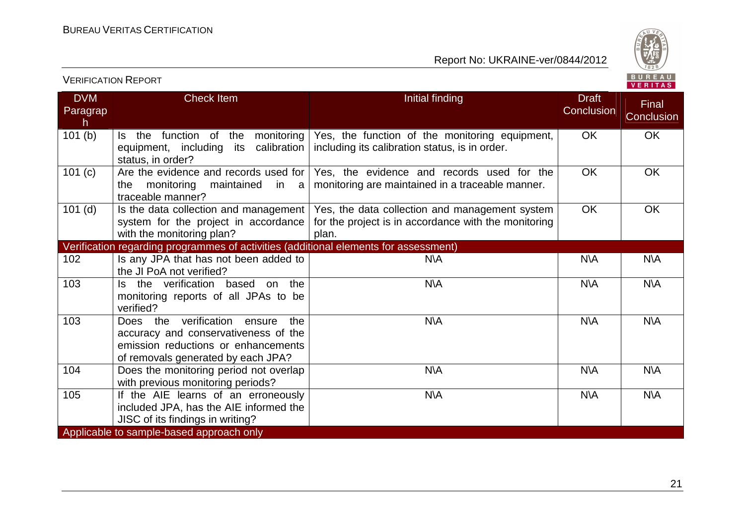VERIFICATION REPORT



| <b>DVM</b><br>Paragrap<br>h. | <b>Check Item</b>                                                                                                                                             | Initial finding                                                                                                 | <b>Draft</b><br>Conclusion | Final<br>Conclusion |
|------------------------------|---------------------------------------------------------------------------------------------------------------------------------------------------------------|-----------------------------------------------------------------------------------------------------------------|----------------------------|---------------------|
| 101(b)                       | function of the<br>monitoring<br>Is the<br>equipment, including its calibration<br>status, in order?                                                          | Yes, the function of the monitoring equipment,<br>including its calibration status, is in order.                | <b>OK</b>                  | <b>OK</b>           |
| 101(c)                       | Are the evidence and records used for  <br>the<br>monitoring maintained in a<br>traceable manner?                                                             | Yes, the evidence and records used for the<br>monitoring are maintained in a traceable manner.                  | OK                         | <b>OK</b>           |
| $101$ (d)                    | Is the data collection and management<br>system for the project in accordance<br>with the monitoring plan?                                                    | Yes, the data collection and management system<br>for the project is in accordance with the monitoring<br>plan. | OK                         | OK                  |
|                              | Verification regarding programmes of activities (additional elements for assessment)                                                                          |                                                                                                                 |                            |                     |
| 102                          | Is any JPA that has not been added to<br>the JI PoA not verified?                                                                                             | <b>N\A</b>                                                                                                      | <b>N\A</b>                 | <b>N\A</b>          |
| 103                          | Is the verification based<br>on the<br>monitoring reports of all JPAs to be<br>verified?                                                                      | <b>N\A</b>                                                                                                      | N\A                        | N\A                 |
| 103                          | Does the verification<br>the<br>ensure<br>accuracy and conservativeness of the<br>emission reductions or enhancements<br>of removals generated by each JPA?   | <b>N\A</b>                                                                                                      | N\A                        | <b>N\A</b>          |
| 104                          | Does the monitoring period not overlap<br>with previous monitoring periods?                                                                                   | <b>N\A</b>                                                                                                      | <b>N\A</b>                 | <b>N\A</b>          |
| 105                          | If the AIE learns of an erroneously<br>included JPA, has the AIE informed the<br>JISC of its findings in writing?<br>Applicable to sample-based approach only | <b>N\A</b>                                                                                                      | <b>N\A</b>                 | N\A                 |
|                              |                                                                                                                                                               |                                                                                                                 |                            |                     |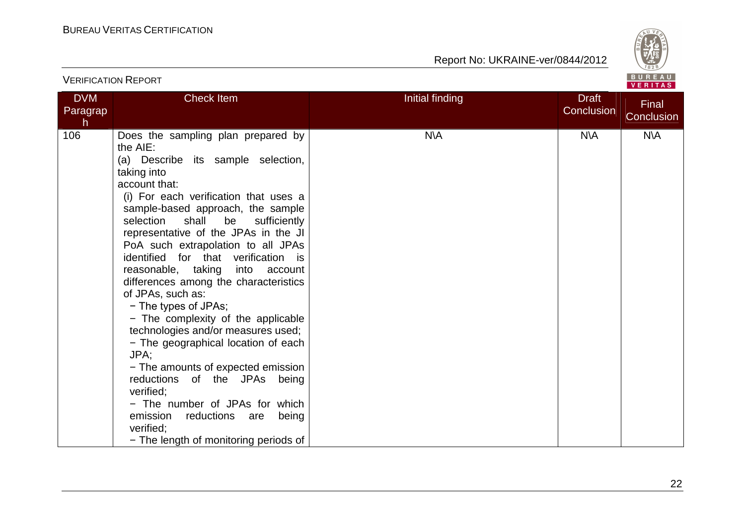

|                             | <b>VERIFICATION REPORT</b>                                                                                                                                                                                                                                                                                                                                                                                                                                                                                                                                                                                                                                                                                                                                                                                                                |                 |                            | BUREAU<br>VERITAS   |
|-----------------------------|-------------------------------------------------------------------------------------------------------------------------------------------------------------------------------------------------------------------------------------------------------------------------------------------------------------------------------------------------------------------------------------------------------------------------------------------------------------------------------------------------------------------------------------------------------------------------------------------------------------------------------------------------------------------------------------------------------------------------------------------------------------------------------------------------------------------------------------------|-----------------|----------------------------|---------------------|
| <b>DVM</b><br>Paragrap<br>h | Check Item                                                                                                                                                                                                                                                                                                                                                                                                                                                                                                                                                                                                                                                                                                                                                                                                                                | Initial finding | <b>Draft</b><br>Conclusion | Final<br>Conclusion |
| 106                         | Does the sampling plan prepared by<br>the AIE:<br>(a) Describe its sample selection,<br>taking into<br>account that:<br>(i) For each verification that uses a<br>sample-based approach, the sample<br>selection<br>shall<br>be<br>sufficiently<br>representative of the JPAs in the JI<br>PoA such extrapolation to all JPAs<br>identified for that verification is<br>reasonable, taking into account<br>differences among the characteristics<br>of JPAs, such as:<br>- The types of JPAs;<br>- The complexity of the applicable<br>technologies and/or measures used;<br>- The geographical location of each<br>JPA;<br>- The amounts of expected emission<br>reductions of the JPAs being<br>verified:<br>- The number of JPAs for which<br>emission<br>reductions are<br>being<br>verified;<br>- The length of monitoring periods of | <b>N\A</b>      | <b>N\A</b>                 | <b>N\A</b>          |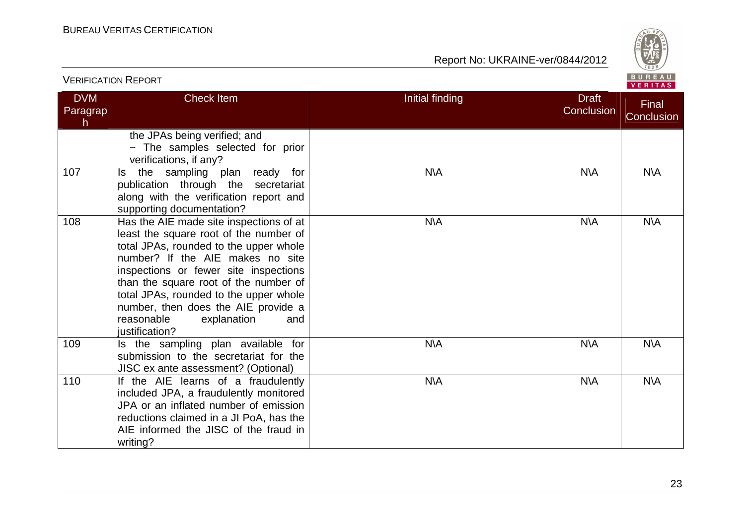

| <b>VERIFICATION REPORT</b>  |                                                                                                                                                                                                                                                                                                                                                                                          |                 |                            | BUREAU<br>VERITAS   |
|-----------------------------|------------------------------------------------------------------------------------------------------------------------------------------------------------------------------------------------------------------------------------------------------------------------------------------------------------------------------------------------------------------------------------------|-----------------|----------------------------|---------------------|
| <b>DVM</b><br>Paragrap<br>h | <b>Check Item</b>                                                                                                                                                                                                                                                                                                                                                                        | Initial finding | <b>Draft</b><br>Conclusion | Final<br>Conclusion |
|                             | the JPAs being verified; and<br>- The samples selected for prior<br>verifications, if any?                                                                                                                                                                                                                                                                                               |                 |                            |                     |
| 107                         | the sampling<br>plan ready for<br>ls.<br>publication through the secretariat<br>along with the verification report and<br>supporting documentation?                                                                                                                                                                                                                                      | <b>N\A</b>      | <b>N\A</b>                 | <b>N\A</b>          |
| 108                         | Has the AIE made site inspections of at<br>least the square root of the number of<br>total JPAs, rounded to the upper whole<br>number? If the AIE makes no site<br>inspections or fewer site inspections<br>than the square root of the number of<br>total JPAs, rounded to the upper whole<br>number, then does the AIE provide a<br>reasonable<br>explanation<br>and<br>justification? | <b>N\A</b>      | N\A                        | N\A                 |
| 109                         | Is the sampling plan available for<br>submission to the secretariat for the<br>JISC ex ante assessment? (Optional)                                                                                                                                                                                                                                                                       | N\A             | <b>N\A</b>                 | N\A                 |
| 110                         | If the AIE learns of a fraudulently<br>included JPA, a fraudulently monitored<br>JPA or an inflated number of emission<br>reductions claimed in a JI PoA, has the<br>AIE informed the JISC of the fraud in<br>writing?                                                                                                                                                                   | N\A             | N\A                        | N\A                 |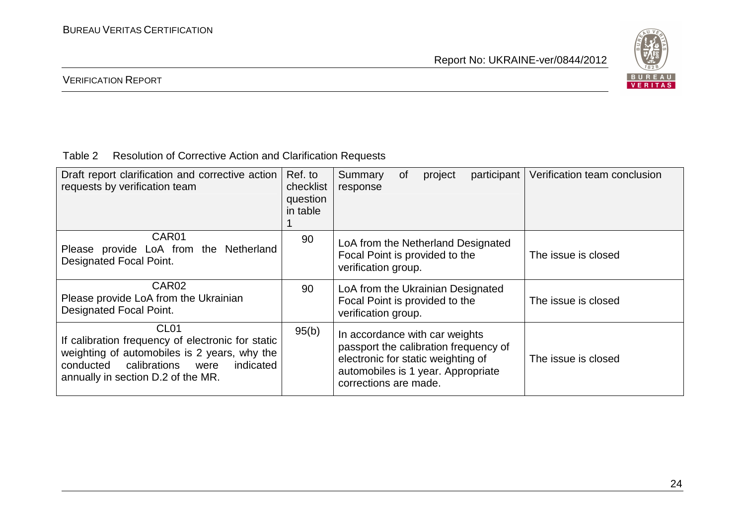

## VERIFICATION REPORT

## Table 2 Resolution of Corrective Action and Clarification Requests

| Draft report clarification and corrective action<br>requests by verification team                                                                                                                          | Ref. to<br>checklist<br>question<br>in table | Verification team conclusion<br>participant<br>Summary<br>0f<br>project<br>response                                                                                                                 |
|------------------------------------------------------------------------------------------------------------------------------------------------------------------------------------------------------------|----------------------------------------------|-----------------------------------------------------------------------------------------------------------------------------------------------------------------------------------------------------|
| CAR <sub>01</sub><br>Please provide LoA from the Netherland<br><b>Designated Focal Point.</b>                                                                                                              | 90                                           | LoA from the Netherland Designated<br>Focal Point is provided to the<br>The issue is closed<br>verification group.                                                                                  |
| CAR <sub>02</sub><br>Please provide LoA from the Ukrainian<br><b>Designated Focal Point.</b>                                                                                                               | 90                                           | LoA from the Ukrainian Designated<br>Focal Point is provided to the<br>The issue is closed<br>verification group.                                                                                   |
| CL <sub>01</sub><br>If calibration frequency of electronic for static<br>weighting of automobiles is 2 years, why the<br>conducted calibrations<br>were<br>indicated<br>annually in section D.2 of the MR. | 95(b)                                        | In accordance with car weights<br>passport the calibration frequency of<br>electronic for static weighting of<br>The issue is closed<br>automobiles is 1 year. Appropriate<br>corrections are made. |